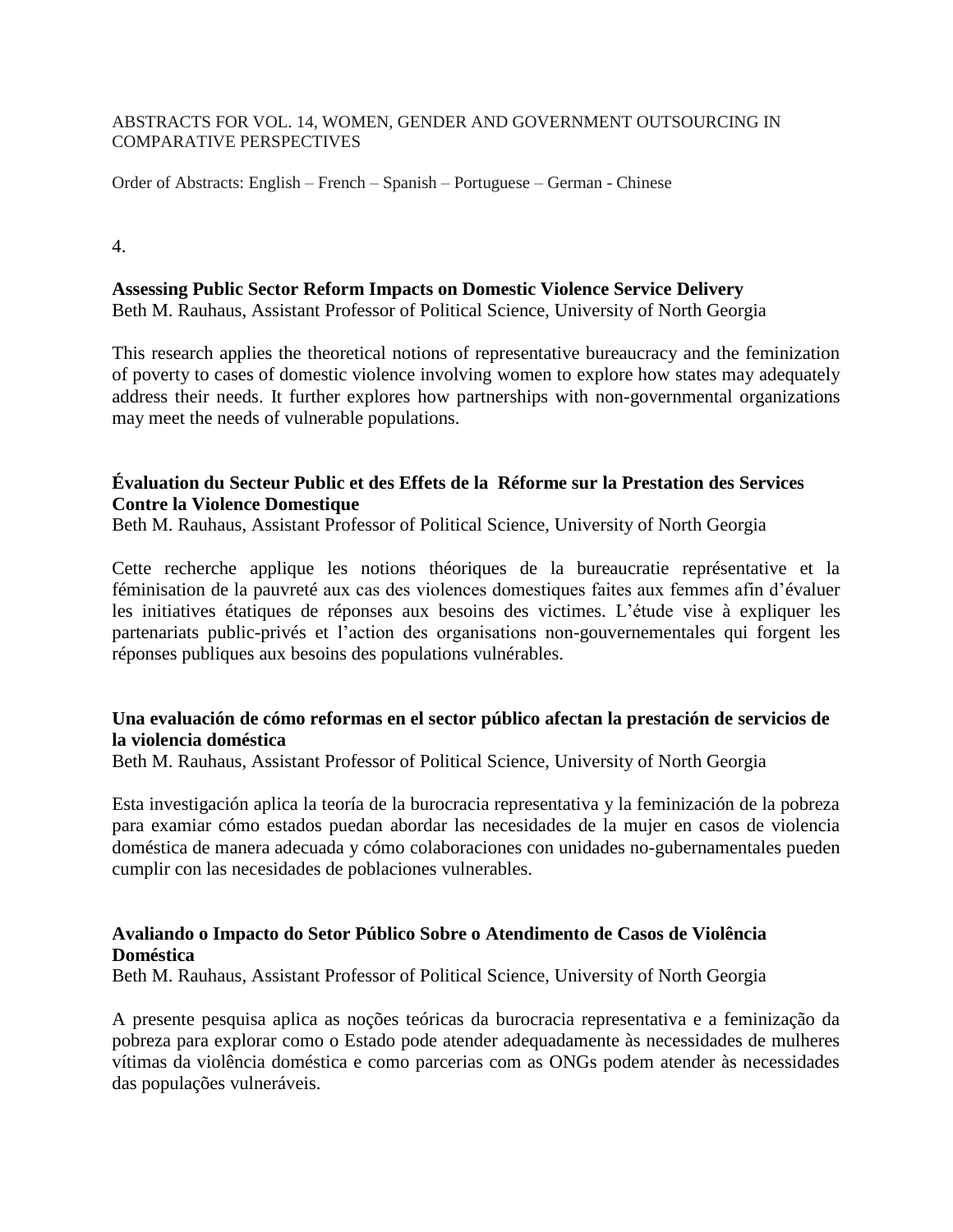#### ABSTRACTS FOR VOL. 14, WOMEN, GENDER AND GOVERNMENT OUTSOURCING IN COMPARATIVE PERSPECTIVES

Order of Abstracts: English – French – Spanish – Portuguese – German - Chinese

4.

**Assessing Public Sector Reform Impacts on Domestic Violence Service Delivery** Beth M. Rauhaus, Assistant Professor of Political Science, University of North Georgia

This research applies the theoretical notions of representative bureaucracy and the feminization of poverty to cases of domestic violence involving women to explore how states may adequately address their needs. It further explores how partnerships with non-governmental organizations may meet the needs of vulnerable populations.

#### **Évaluation du Secteur Public et des Effets de la Réforme sur la Prestation des Services Contre la Violence Domestique**

Beth M. Rauhaus, Assistant Professor of Political Science, University of North Georgia

Cette recherche applique les notions théoriques de la bureaucratie représentative et la féminisation de la pauvreté aux cas des violences domestiques faites aux femmes afin d'évaluer les initiatives étatiques de réponses aux besoins des victimes. L'étude vise à expliquer les partenariats public-privés et l'action des organisations non-gouvernementales qui forgent les réponses publiques aux besoins des populations vulnérables.

## **Una evaluación de cómo reformas en el sector público afectan la prestación de servicios de la violencia doméstica**

Beth M. Rauhaus, Assistant Professor of Political Science, University of North Georgia

Esta investigación aplica la teoría de la burocracia representativa y la feminización de la pobreza para examiar cómo estados puedan abordar las necesidades de la mujer en casos de violencia doméstica de manera adecuada y cómo colaboraciones con unidades no-gubernamentales pueden cumplir con las necesidades de poblaciones vulnerables.

## **Avaliando o Impacto do Setor Público Sobre o Atendimento de Casos de Violência Doméstica**

Beth M. Rauhaus, Assistant Professor of Political Science, University of North Georgia

A presente pesquisa aplica as noções teóricas da burocracia representativa e a feminização da pobreza para explorar como o Estado pode atender adequadamente às necessidades de mulheres vítimas da violência doméstica e como parcerias com as ONGs podem atender às necessidades das populações vulneráveis.